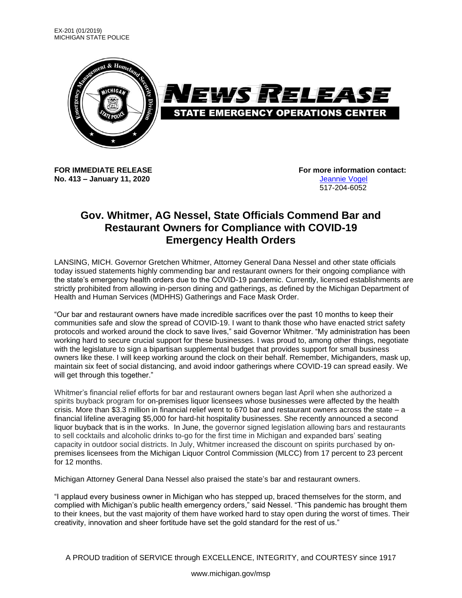

**No. 413 – January 11, 2020** [Jeannie Vogel](mailto:vogelj1@michigan.gov)

**FOR IMMEDIATE RELEASE For more information contact:** 517-204-6052

## **Gov. Whitmer, AG Nessel, State Officials Commend Bar and Restaurant Owners for Compliance with COVID-19 Emergency Health Orders**

LANSING, MICH. Governor Gretchen Whitmer, Attorney General Dana Nessel and other state officials today issued statements highly commending bar and restaurant owners for their ongoing compliance with the state's emergency health orders due to the COVID-19 pandemic. Currently, licensed establishments are strictly prohibited from allowing in-person dining and gatherings, as defined by the Michigan Department of Health and Human Services (MDHHS) Gatherings and Face Mask Order.

"Our bar and restaurant owners have made incredible sacrifices over the past 10 months to keep their communities safe and slow the spread of COVID-19. I want to thank those who have enacted strict safety protocols and worked around the clock to save lives," said Governor Whitmer. "My administration has been working hard to secure crucial support for these businesses. I was proud to, among other things, negotiate with the legislature to sign a bipartisan supplemental budget that provides support for small business owners like these. I will keep working around the clock on their behalf. Remember, Michiganders, mask up, maintain six feet of social distancing, and avoid indoor gatherings where COVID-19 can spread easily. We will get through this together."

Whitmer's financial relief efforts for bar and restaurant owners began last April when she authorized a spirits buyback program for on-premises liquor licensees whose businesses were affected by the health crisis. More than \$3.3 million in financial relief went to 670 bar and restaurant owners across the state – a financial lifeline averaging \$5,000 for hard-hit hospitality businesses. She recently announced a second liquor buyback that is in the works. In June, the governor signed legislation allowing bars and restaurants to sell cocktails and alcoholic drinks to-go for the first time in Michigan and expanded bars' seating capacity in outdoor social districts. In July, Whitmer increased the discount on spirits purchased by onpremises licensees from the Michigan Liquor Control Commission (MLCC) from 17 percent to 23 percent for 12 months.

Michigan Attorney General Dana Nessel also praised the state's bar and restaurant owners.

"I applaud every business owner in Michigan who has stepped up, braced themselves for the storm, and complied with Michigan's public health emergency orders," said Nessel. "This pandemic has brought them to their knees, but the vast majority of them have worked hard to stay open during the worst of times. Their creativity, innovation and sheer fortitude have set the gold standard for the rest of us."

A PROUD tradition of SERVICE through EXCELLENCE, INTEGRITY, and COURTESY since 1917